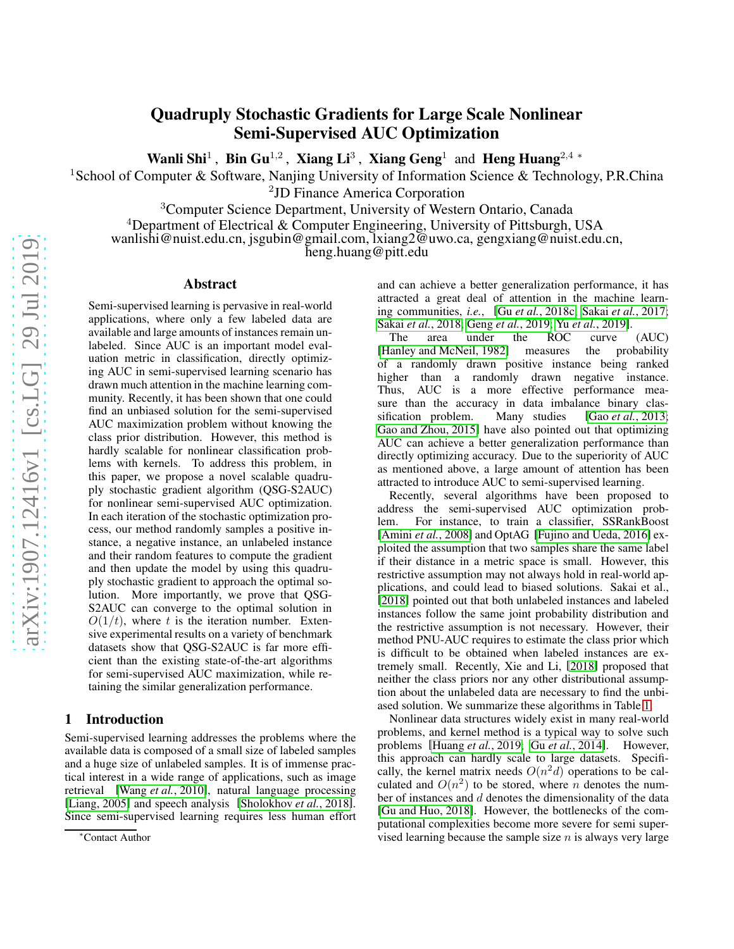# Quadruply Stochastic Gradients for Large Scale Nonlinear Semi-Supervised AUC Optimization

Wanli Shi<sup>1</sup>, Bin Gu<sup>1,2</sup>, Xiang Li<sup>3</sup>, Xiang Geng<sup>1</sup> and Heng Huang<sup>2,4</sup> \*

<sup>1</sup>School of Computer & Software, Nanjing University of Information Science & Technology, P.R.China

2 JD Finance America Corporation

<sup>3</sup>Computer Science Department, University of Western Ontario, Canada

<sup>4</sup>Department of Electrical & Computer Engineering, University of Pittsburgh, USA

wanlishi@nuist.edu.cn, jsgubin@gmail.com, lxiang2@uwo.ca, gengxiang@nuist.edu.cn,

heng.huang@pitt.edu

### Abstract

Semi-supervised learning is pervasive in real-world applications, where only a few labeled data are available and large amounts of instances remain unlabeled. Since AUC is an important model evaluation metric in classification, directly optimizing AUC in semi-supervised learning scenario has drawn much attention in the machine learning community. Recently, it has been shown that one could find an unbiased solution for the semi-supervised AUC maximization problem without knowing the class prior distribution. However, this method is hardly scalable for nonlinear classification problems with kernels. To address this problem, in this paper, we propose a novel scalable quadruply stochastic gradient algorithm (QSG-S2AUC) for nonlinear semi-supervised AUC optimization. In each iteration of the stochastic optimization process, our method randomly samples a positive instance, a negative instance, an unlabeled instance and their random features to compute the gradient and then update the model by using this quadruply stochastic gradient to approach the optimal solution. More importantly, we prove that QSG-S2AUC can converge to the optimal solution in  $O(1/t)$ , where t is the iteration number. Extensive experimental results on a variety of benchmark datasets show that QSG-S2AUC is far more efficient than the existing state-of-the-art algorithms for semi-supervised AUC maximization, while retaining the similar generalization performance.

## 1 Introduction

Semi-supervised learning addresses the problems where the available data is composed of a small size of labeled samples and a huge size of unlabeled samples. It is of immense practical interest in a wide range of applications, such as image retrieval [Wang *et al.*[, 2010\]](#page-7-0), natural language processing [\[Liang, 2005\]](#page-6-0) and speech analysis [\[Sholokhov](#page-7-1) *et al.*, 2018]. Since semi-supervised learning requires less human effort and can achieve a better generalization performance, it has attracted a great deal of attention in the machine learning communities, *i.e.*, [Gu *et al.*[, 2018c;](#page-6-1) Sakai *et al.*[, 2017;](#page-6-2) Sakai *et al.*[, 2018;](#page-6-3) Geng *et al.*[, 2019;](#page-6-4) Yu *et al.*[, 2019\]](#page-7-2).

The area under the ROC curve (AUC) [\[Hanley and McNeil, 1982\]](#page-6-5) measures the probability of a randomly drawn positive instance being ranked higher than a randomly drawn negative instance. Thus, AUC is a more effective performance measure than the accuracy in data imbalance binary classification problem. Many studies [Gao *et al.*[, 2013;](#page-6-6) [Gao and Zhou, 2015\]](#page-6-7) have also pointed out that optimizing AUC can achieve a better generalization performance than directly optimizing accuracy. Due to the superiority of AUC as mentioned above, a large amount of attention has been attracted to introduce AUC to semi-supervised learning.

Recently, several algorithms have been proposed to address the semi-supervised AUC optimization problem. For instance, to train a classifier, SSRankBoost [\[Amini](#page-6-8) *et al.*, 2008] and OptAG [\[Fujino and Ueda, 2016\]](#page-6-9) exploited the assumption that two samples share the same label if their distance in a metric space is small. However, this restrictive assumption may not always hold in real-world applications, and could lead to biased solutions. Sakai et al., [\[2018\]](#page-6-3) pointed out that both unlabeled instances and labeled instances follow the same joint probability distribution and the restrictive assumption is not necessary. However, their method PNU-AUC requires to estimate the class prior which is difficult to be obtained when labeled instances are extremely small. Recently, Xie and Li, [\[2018\]](#page-7-3) proposed that neither the class priors nor any other distributional assumption about the unlabeled data are necessary to find the unbiased solution. We summarize these algorithms in Table [1.](#page-1-0)

Nonlinear data structures widely exist in many real-world problems, and kernel method is a typical way to solve such problems [\[Huang](#page-6-10) *et al.*, 2019; Gu *et al.*[, 2014\]](#page-6-11). However, this approach can hardly scale to large datasets. Specifically, the kernel matrix needs  $O(n^2d)$  operations to be calculated and  $O(n^2)$  to be stored, where *n* denotes the number of instances and  $d$  denotes the dimensionality of the data [\[Gu and Huo, 2018\]](#page-6-12). However, the bottlenecks of the computational complexities become more severe for semi supervised learning because the sample size  $n$  is always very large

<sup>∗</sup>Contact Author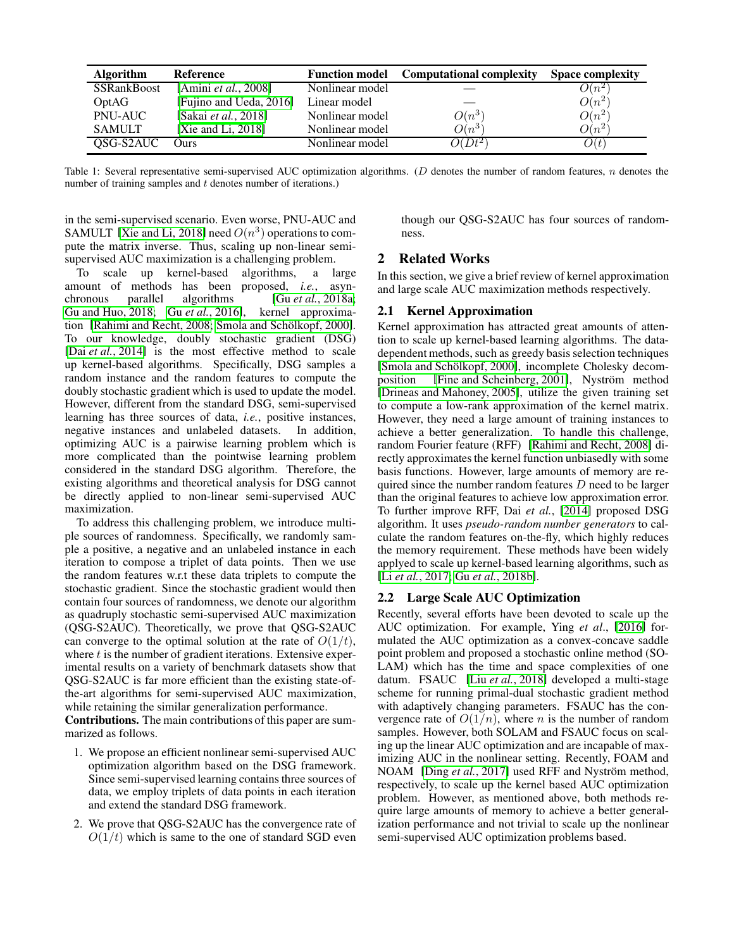<span id="page-1-0"></span>

| <b>Algorithm</b>   | Reference                    | <b>Function model</b> | <b>Computational complexity</b> | <b>Space complexity</b> |
|--------------------|------------------------------|-----------------------|---------------------------------|-------------------------|
| <b>SSRankBoost</b> | [Amini <i>et al.</i> , 2008] | Nonlinear model       |                                 | $O(n^{2})$              |
| OptAG              | [Fujino and Ueda, 2016]      | Linear model          |                                 | $O(n^2)$                |
| <b>PNU-AUC</b>     | [Sakai et al., 2018]         | Nonlinear model       | $O(n^3)$                        | $O(n^2)$                |
| <b>SAMULT</b>      | [Xie and Li, $2018$ ]        | Nonlinear model       | $O(n^3)$                        | $O(n^2)$                |
| QSG-S2AUC          | Ours                         | Nonlinear model       | $\overline{O}(Dt^{2})$          | O(t)                    |

Table 1: Several representative semi-supervised AUC optimization algorithms. (D denotes the number of random features,  $n$  denotes the number of training samples and t denotes number of iterations.)

in the semi-supervised scenario. Even worse, PNU-AUC and SAMULT [\[Xie and Li, 2018\]](#page-7-3) need  $O(n^3)$  operations to compute the matrix inverse. Thus, scaling up non-linear semisupervised AUC maximization is a challenging problem.

To scale up kernel-based algorithms, a large amount of methods has been proposed, *i.e.*, asynchronous parallel algorithms [Gu *et al.*[, 2018a;](#page-6-13) [Gu and Huo, 2018;](#page-6-12) Gu *et al.*[, 2016\]](#page-6-14), kernel approxima-tion [\[Rahimi and Recht, 2008;](#page-6-15) Smola and Schölkopf, 2000]. To our knowledge, doubly stochastic gradient (DSG) [Dai *et al.*[, 2014\]](#page-6-16) is the most effective method to scale up kernel-based algorithms. Specifically, DSG samples a random instance and the random features to compute the doubly stochastic gradient which is used to update the model. However, different from the standard DSG, semi-supervised learning has three sources of data, *i.e.*, positive instances, negative instances and unlabeled datasets. In addition, optimizing AUC is a pairwise learning problem which is more complicated than the pointwise learning problem considered in the standard DSG algorithm. Therefore, the existing algorithms and theoretical analysis for DSG cannot be directly applied to non-linear semi-supervised AUC maximization.

To address this challenging problem, we introduce multiple sources of randomness. Specifically, we randomly sample a positive, a negative and an unlabeled instance in each iteration to compose a triplet of data points. Then we use the random features w.r.t these data triplets to compute the stochastic gradient. Since the stochastic gradient would then contain four sources of randomness, we denote our algorithm as quadruply stochastic semi-supervised AUC maximization (QSG-S2AUC). Theoretically, we prove that QSG-S2AUC can converge to the optimal solution at the rate of  $O(1/t)$ , where  $t$  is the number of gradient iterations. Extensive experimental results on a variety of benchmark datasets show that QSG-S2AUC is far more efficient than the existing state-ofthe-art algorithms for semi-supervised AUC maximization, while retaining the similar generalization performance.

Contributions. The main contributions of this paper are summarized as follows.

- 1. We propose an efficient nonlinear semi-supervised AUC optimization algorithm based on the DSG framework. Since semi-supervised learning contains three sources of data, we employ triplets of data points in each iteration and extend the standard DSG framework.
- 2. We prove that QSG-S2AUC has the convergence rate of  $O(1/t)$  which is same to the one of standard SGD even

though our QSG-S2AUC has four sources of randomness.

# 2 Related Works

In this section, we give a brief review of kernel approximation and large scale AUC maximization methods respectively.

# 2.1 Kernel Approximation

Kernel approximation has attracted great amounts of attention to scale up kernel-based learning algorithms. The datadependent methods, such as greedy basis selection techniques [Smola and Schölkopf, 2000], incomplete Cholesky decom-position [\[Fine and Scheinberg, 2001\]](#page-6-17), Nyström method [\[Drineas and Mahoney, 2005\]](#page-6-18), utilize the given training set to compute a low-rank approximation of the kernel matrix. However, they need a large amount of training instances to achieve a better generalization. To handle this challenge, random Fourier feature (RFF) [\[Rahimi and Recht, 2008\]](#page-6-15) directly approximates the kernel function unbiasedly with some basis functions. However, large amounts of memory are required since the number random features  $D$  need to be larger than the original features to achieve low approximation error. To further improve RFF, Dai *et al.*, [\[2014\]](#page-6-16) proposed DSG algorithm. It uses *pseudo-random number generators* to calculate the random features on-the-fly, which highly reduces the memory requirement. These methods have been widely applyed to scale up kernel-based learning algorithms, such as [Li *et al.*[, 2017;](#page-6-19) Gu *et al.*[, 2018b\]](#page-6-20).

# 2.2 Large Scale AUC Optimization

Recently, several efforts have been devoted to scale up the AUC optimization. For example, Ying *et al*., [\[2016\]](#page-7-5) formulated the AUC optimization as a convex-concave saddle point problem and proposed a stochastic online method (SO-LAM) which has the time and space complexities of one datum. FSAUC [Liu *et al.*[, 2018\]](#page-6-21) developed a multi-stage scheme for running primal-dual stochastic gradient method with adaptively changing parameters. FSAUC has the convergence rate of  $O(1/n)$ , where *n* is the number of random samples. However, both SOLAM and FSAUC focus on scaling up the linear AUC optimization and are incapable of maximizing AUC in the nonlinear setting. Recently, FOAM and NOAM [Ding et al.[, 2017\]](#page-6-22) used RFF and Nyström method, respectively, to scale up the kernel based AUC optimization problem. However, as mentioned above, both methods require large amounts of memory to achieve a better generalization performance and not trivial to scale up the nonlinear semi-supervised AUC optimization problems based.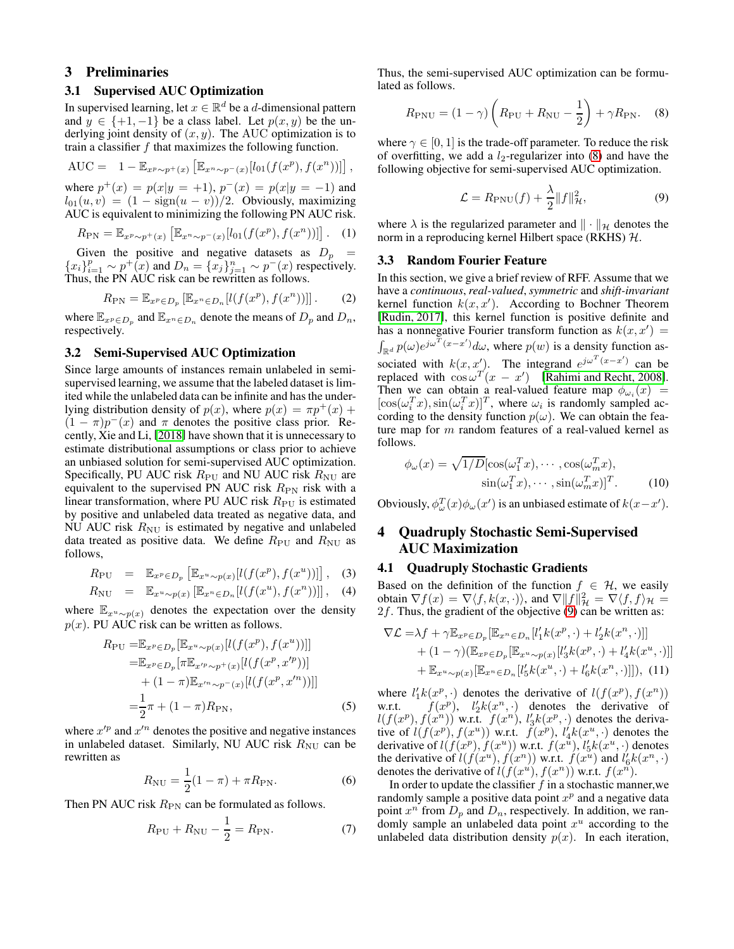# 3 Preliminaries

## 3.1 Supervised AUC Optimization

In supervised learning, let  $x \in \mathbb{R}^d$  be a *d*-dimensional pattern and  $y \in \{+1, -1\}$  be a class label. Let  $p(x, y)$  be the underlying joint density of  $(x, y)$ . The AUC optimization is to train a classifier  $f$  that maximizes the following function.

AUC = 
$$
1 - \mathbb{E}_{x^p \sim p^+(x)} [\mathbb{E}_{x^n \sim p^-(x)}[l_{01}(f(x^p), f(x^n))]]
$$

where  $p^{+}(x) = p(x|y = +1)$ ,  $p^{-}(x) = p(x|y = -1)$  and  $l_{01}(u, v) = (1 - sign(u - v))/2$ . Obviously, maximizing AUC is equivalent to minimizing the following PN AUC risk.

$$
R_{\rm PN} = \mathbb{E}_{x^p \sim p^+(x)} \left[ \mathbb{E}_{x^n \sim p^-(x)} [l_{01}(f(x^p), f(x^n))] \right]. \tag{1}
$$

Given the positive and negative datasets as  $D_p =$  ${x_i}_{i=1}^p \sim p^+(x)$  and  $D_n = {x_j}_{j=1}^n \sim p^-(x)$  respectively. Thus, the PN AUC risk can be rewritten as follows.

$$
R_{\rm PN} = \mathbb{E}_{x^p \in D_p} \left[ \mathbb{E}_{x^n \in D_n} \left[ l(f(x^p), f(x^n)) \right] \right]. \tag{2}
$$

where  $\mathbb{E}_{x^p \in D_p}$  and  $\mathbb{E}_{x^p \in D_n}$  denote the means of  $D_p$  and  $D_n$ , respectively.

### 3.2 Semi-Supervised AUC Optimization

Since large amounts of instances remain unlabeled in semisupervised learning, we assume that the labeled dataset is limited while the unlabeled data can be infinite and has the underlying distribution density of  $p(x)$ , where  $p(x) = \pi p^{+}(x) +$  $(1 - \pi)p^{-}(x)$  and  $\pi$  denotes the positive class prior. Recently, Xie and Li, [\[2018\]](#page-7-3) have shown that it is unnecessary to estimate distributional assumptions or class prior to achieve an unbiased solution for semi-supervised AUC optimization. Specifically, PU AUC risk  $R_{\rm PU}$  and NU AUC risk  $R_{\rm NU}$  are equivalent to the supervised PN AUC risk  $R_{\text{PN}}$  risk with a linear transformation, where PU AUC risk  $R_{\rm PU}$  is estimated by positive and unlabeled data treated as negative data, and NU AUC risk  $R_{\text{NU}}$  is estimated by negative and unlabeled data treated as positive data. We define  $R_{\rm PU}$  and  $R_{\rm NU}$  as follows,

$$
R_{\rm PU} = \mathbb{E}_{x^p \in D_p} \left[ \mathbb{E}_{x^u \sim p(x)} [l(f(x^p), f(x^u))] \right], \quad (3)
$$

$$
R_{\rm NU} = \mathbb{E}_{x^u \sim p(x)} \left[ \mathbb{E}_{x^n \in D_n} \left[ l(f(x^u), f(x^n)) \right] \right], \quad (4)
$$

where  $\mathbb{E}_{x^u \sim p(x)}$  denotes the expectation over the density  $p(x)$ . PU AUC risk can be written as follows.

$$
R_{\rm PU} = \mathbb{E}_{x^p \in D_p} [\mathbb{E}_{x^u \sim p(x)} [l(f(x^p), f(x^u))]]
$$
  
\n
$$
= \mathbb{E}_{x^p \in D_p} [\pi \mathbb{E}_{x'^p \sim p^+(x)} [l(f(x^p, x'^p))]]
$$
  
\n
$$
+ (1 - \pi) \mathbb{E}_{x'^n \sim p^-(x)} [l(f(x^p, x'^n))]]
$$
  
\n
$$
= \frac{1}{2} \pi + (1 - \pi) R_{\rm PN},
$$
 (5)

where  $x'^p$  and  $x'^n$  denotes the positive and negative instances in unlabeled dataset. Similarly, NU AUC risk  $R_{\text{NU}}$  can be rewritten as

$$
R_{\rm NU} = \frac{1}{2}(1 - \pi) + \pi R_{\rm PN}.
$$
 (6)

Then PN AUC risk  $R_{\text{PN}}$  can be formulated as follows.

$$
R_{\rm PU} + R_{\rm NU} - \frac{1}{2} = R_{\rm PN}.
$$
 (7)

Thus, the semi-supervised AUC optimization can be formulated as follows.

$$
R_{\rm PNU} = (1 - \gamma) \left( R_{\rm PU} + R_{\rm NU} - \frac{1}{2} \right) + \gamma R_{\rm PN}. \tag{8}
$$

where  $\gamma \in [0, 1]$  is the trade-off parameter. To reduce the risk of overfitting, we add a  $l_2$ -regularizer into [\(8\)](#page-2-0) and have the following objective for semi-supervised AUC optimization.

<span id="page-2-1"></span><span id="page-2-0"></span>
$$
\mathcal{L} = R_{\text{PNU}}(f) + \frac{\lambda}{2} ||f||_{\mathcal{H}}^2,
$$
\n(9)

where  $\lambda$  is the regularized parameter and  $\|\cdot\|_{\mathcal{H}}$  denotes the norm in a reproducing kernel Hilbert space (RKHS)  $H$ .

#### 3.3 Random Fourier Feature

,

In this section, we give a brief review of RFF. Assume that we have a *continuous*, *real-valued*, *symmetric* and *shift-invariant* kernel function  $k(x, x')$ . According to Bochner Theorem [\[Rudin, 2017\]](#page-6-23), this kernel function is positive definite and has a nonnegative Fourier transform function as  $k(x, x') =$  $\int_{\mathbb{R}^d} p(\omega) e^{j\omega^T (x-x')} d\omega$ , where  $p(w)$  is a density function associated with  $k(x, x')$ . The integrand  $e^{j\omega^{T}(x-x')}$  can be replaced with  $\cos \omega^T (x - x')$  [\[Rahimi and Recht, 2008\]](#page-6-15). Then we can obtain a real-valued feature map  $\phi_{\omega_i}(x)$  =  $[\cos(\omega_i^T x), \sin(\omega_i^T x)]^T$ , where  $\omega_i$  is randomly sampled according to the density function  $p(\omega)$ . We can obtain the feature map for m random features of a real-valued kernel as follows.

$$
\phi_{\omega}(x) = \sqrt{1/D} [\cos(\omega_1^T x), \cdots, \cos(\omega_m^T x),
$$
  
 
$$
\sin(\omega_1^T x), \cdots, \sin(\omega_m^T x)]^T.
$$
 (10)

Obviously,  $\phi_{\omega}^{T}(x)\phi_{\omega}(x')$  is an unbiased estimate of  $k(x-x')$ .

# 4 Quadruply Stochastic Semi-Supervised AUC Maximization

#### 4.1 Quadruply Stochastic Gradients

Based on the definition of the function  $f \in \mathcal{H}$ , we easily obtain  $\nabla f(x) = \nabla \langle f, k(x, \cdot) \rangle$ , and  $\nabla ||f||^2_{\mathcal{H}} = \nabla \langle f, f \rangle_{\mathcal{H}} =$  $2f$ . Thus, the gradient of the objective [\(9\)](#page-2-1) can be written as:

<span id="page-2-2"></span>
$$
\nabla \mathcal{L} = \lambda f + \gamma \mathbb{E}_{x^p \in D_p} [\mathbb{E}_{x^n \in D_n} [l'_1 k(x^p, \cdot) + l'_2 k(x^n, \cdot)]] + (1 - \gamma) (\mathbb{E}_{x^p \in D_p} [\mathbb{E}_{x^u \sim p(x)} [l'_3 k(x^p, \cdot) + l'_4 k(x^u, \cdot)]] + \mathbb{E}_{x^u \sim p(x)} [\mathbb{E}_{x^n \in D_n} [l'_5 k(x^u, \cdot) + l'_6 k(x^n, \cdot)]]),
$$
(11)

where  $l'_1 k(x^p, \cdot)$  denotes the derivative of  $l(f(x^p), f(x^n))$ w.r.t.  $f(x^p)$ ,  $l'_2 k(x^n, \cdot)$  denotes the derivative of  $l(f(x^p), f(x^n))$  w.r.t.  $f(x^n), l'_3k(x^p, \cdot)$  denotes the derivative of  $l(f(x^p), f(x^u))$  w.r.t.  $f(x^p), l'_4k(x^u, \cdot)$  denotes the derivative of  $l(f(x^p), f(x^u))$  w.r.t.  $f(x^u), l'_5k(x^u, \cdot)$  denotes<br>the derivative of  $l(f(x^u), f(x^n))$  w.r.t.  $f(x^u)$  and  $l'_6k(x^n, \cdot)$ denotes the derivative of  $l(f(x^u), f(x^n))$  w.r.t.  $f(x^n)$ .

In order to update the classifier  $f$  in a stochastic manner, we randomly sample a positive data point  $x^p$  and a negative data point  $x^n$  from  $D_p$  and  $D_n$ , respectively. In addition, we randomly sample an unlabeled data point  $x^u$  according to the unlabeled data distribution density  $p(x)$ . In each iteration,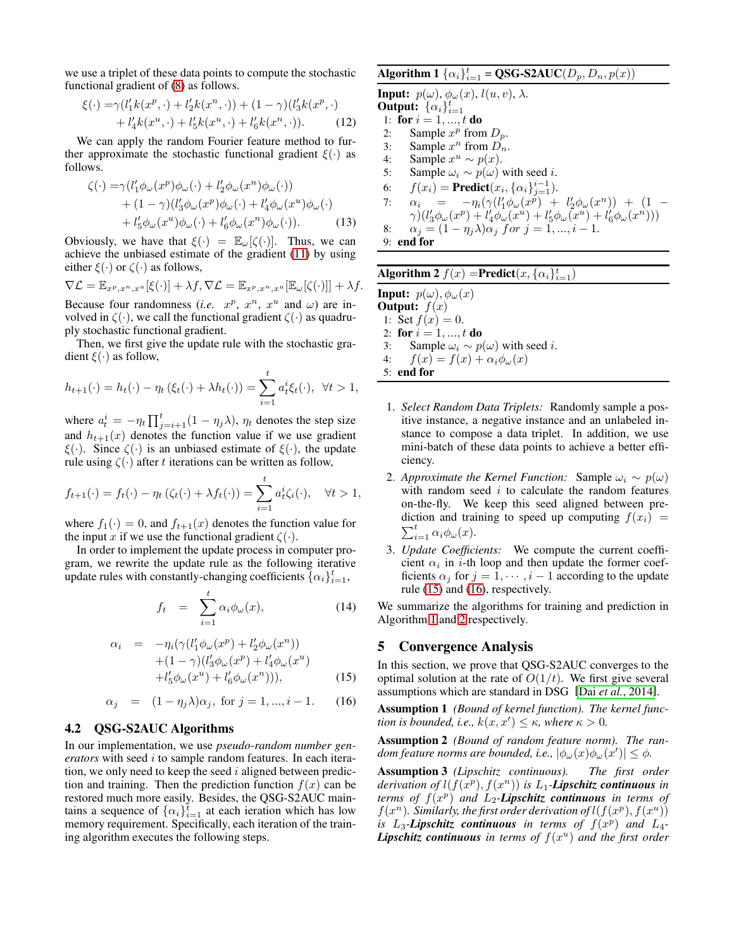we use a triplet of these data points to compute the stochastic functional gradient of [\(8\)](#page-2-0) as follows.

$$
\xi(\cdot) = \gamma(l'_1 k(x^p, \cdot) + l'_2 k(x^n, \cdot)) + (1 - \gamma)(l'_3 k(x^p, \cdot) + l'_4 k(x^u, \cdot) + l'_5 k(x^u, \cdot) + l'_6 k(x^n, \cdot)).
$$
 (12)

We can apply the random Fourier feature method to further approximate the stochastic functional gradient  $\xi(\cdot)$  as follows.

$$
\zeta(\cdot) = \gamma (l'_1 \phi_\omega(x^p) \phi_\omega(\cdot) + l'_2 \phi_\omega(x^n) \phi_\omega(\cdot)) \n+ (1 - \gamma) (l'_3 \phi_\omega(x^p) \phi_\omega(\cdot) + l'_4 \phi_\omega(x^u) \phi_\omega(\cdot) \n+ l'_5 \phi_\omega(x^u) \phi_\omega(\cdot) + l'_6 \phi_\omega(x^n) \phi_\omega(\cdot)).
$$
\n(13)

Obviously, we have that  $\xi(\cdot) = \mathbb{E}_{\omega}[\zeta(\cdot)].$  Thus, we can achieve the unbiased estimate of the gradient [\(11\)](#page-2-2) by using either  $\xi(\cdot)$  or  $\zeta(\cdot)$  as follows,

$$
\nabla \mathcal{L} = \mathbb{E}_{x^p, x^n, x^u}[\xi(\cdot)] + \lambda f, \nabla \mathcal{L} = \mathbb{E}_{x^p, x^n, x^u}[\mathbb{E}_{\omega}[\zeta(\cdot)]] + \lambda f.
$$

Because four randomness (*i.e.*  $x^p$ ,  $x^n$ ,  $x^u$  and  $\omega$ ) are involved in  $\zeta(\cdot)$ , we call the functional gradient  $\zeta(\cdot)$  as quadruply stochastic functional gradient.

Then, we first give the update rule with the stochastic gradient  $\xi(\cdot)$  as follow,

$$
h_{t+1}(\cdot) = h_t(\cdot) - \eta_t(\xi_t(\cdot) + \lambda h_t(\cdot)) = \sum_{i=1}^t a_t^i \xi_t(\cdot), \ \forall t > 1,
$$

where  $a_t^i = -\eta_t \prod_{j=i+1}^t (1 - \eta_j \lambda)$ ,  $\eta_t$  denotes the step size and  $h_{t+1}(x)$  denotes the function value if we use gradient  $\xi(\cdot)$ . Since  $\zeta(\cdot)$  is an unbiased estimate of  $\xi(\cdot)$ , the update rule using  $\zeta(\cdot)$  after t iterations can be written as follow,

$$
f_{t+1}(\cdot) = f_t(\cdot) - \eta_t(\zeta_t(\cdot) + \lambda f_t(\cdot)) = \sum_{i=1}^t a_t^i \zeta_i(\cdot), \quad \forall t > 1,
$$

where  $f_1(\cdot) = 0$ , and  $f_{t+1}(x)$  denotes the function value for the input x if we use the functional gradient  $\zeta(\cdot)$ .

In order to implement the update process in computer program, we rewrite the update rule as the following iterative update rules with constantly-changing coefficients  $\{\alpha_i\}_{i=1}^t$ ,

$$
f_t = \sum_{i=1}^t \alpha_i \phi_\omega(x), \qquad (14)
$$

<span id="page-3-0"></span>
$$
\alpha_i = -\eta_i(\gamma(l'_1\phi_\omega(x^p) + l'_2\phi_\omega(x^n))+(1-\gamma)(l'_3\phi_\omega(x^p) + l'_4\phi_\omega(x^u)+l'_5\phi_\omega(x^u) + l'_6\phi_\omega(x^n))),
$$
(15)

<span id="page-3-1"></span>
$$
\alpha_j = (1 - \eta_j \lambda) \alpha_j, \text{ for } j = 1, ..., i - 1.
$$
 (16)

## 4.2 QSG-S2AUC Algorithms

In our implementation, we use *pseudo-random number generators* with seed i to sample random features. In each iteration, we only need to keep the seed  $i$  aligned between prediction and training. Then the prediction function  $f(x)$  can be restored much more easily. Besides, the QSG-S2AUC maintains a sequence of  $\{\alpha_i\}_{i=1}^t$  at each ieration which has low memory requirement. Specifically, each iteration of the training algorithm executes the following steps.

# Algorithm 1  $\{\alpha_i\}_{i=1}^t = \textbf{QSG-S2AUC}(D_p, D_n, p(x))$

**Input:**  $p(\omega)$ ,  $\phi_{\omega}(x)$ ,  $l(u, v)$ ,  $\lambda$ . **Output:**  $\{\alpha_i\}_{i=1}^t$ 1: for  $i = 1, ..., t$  do 2: Sample  $x^p$  from  $D_p$ . 3: Sample  $x^n$  from  $D_n$ . 4: Sample  $x^u \sim p(x)$ . 5: Sample  $\omega_i \sim p(\omega)$  with seed *i*. 6:  $f(x_i) = \text{Predict}(x_i, {\alpha_i}_{j=1}^{i-1}).$ 7:  $\alpha_i = -\eta_i(\gamma(l'_1\phi_\omega(x^p) + l'_2\phi_\omega(x^n)) + (1 \gamma) (l'_3 \phi_\omega(x^p) + l'_4 \phi_\omega(x^u) + l'_5 \phi_\omega(x^u) + l'_6 \phi_\omega(x^n)))$ 8:  $\alpha_j = (1 - \eta_j \lambda) \alpha_j \text{ for } j = 1, ..., i - 1.$ 9: end for

# <span id="page-3-2"></span>Algorithm 2  $f(x) = \text{Predict}(x, {\{\alpha_i\}}_{i=1}^t)$

**Input:**  $p(\omega), \phi_{\omega}(x)$ **Output:**  $f(x)$ 1: Set  $f(x) = 0$ . 2: for  $i = 1, ..., t$  do 3: Sample  $\omega_i \sim p(\omega)$  with seed *i*.<br>4:  $f(x) = f(x) + \alpha_i \phi_{\omega}(x)$  $f(x) = f(x) + \alpha_i \phi_\omega(x)$ 5: end for

- <span id="page-3-3"></span>1. *Select Random Data Triplets:* Randomly sample a positive instance, a negative instance and an unlabeled instance to compose a data triplet. In addition, we use mini-batch of these data points to achieve a better efficiency.
- 2. *Approximate the Kernel Function:* Sample  $\omega_i \sim p(\omega)$ with random seed  $i$  to calculate the random features on-the-fly. We keep this seed aligned between prediction and training to speed up computing  $f(x_i)$  =  $\sum_{i=1}^t \alpha_i \phi_\omega(x)$ .
- 3. *Update Coefficients:* We compute the current coefficient  $\alpha_i$  in *i*-th loop and then update the former coefficients  $\alpha_i$  for  $j = 1, \dots, i - 1$  according to the update rule [\(15\)](#page-3-0) and [\(16\)](#page-3-1), respectively.

We summarize the algorithms for training and prediction in Algorithm [1](#page-3-2) and [2](#page-3-3) respectively.

## 5 Convergence Analysis

In this section, we prove that QSG-S2AUC converges to the optimal solution at the rate of  $O(1/t)$ . We first give several assumptions which are standard in DSG [Dai *et al.*[, 2014\]](#page-6-16).

Assumption 1 *(Bound of kernel function). The kernel function is bounded, i.e.,*  $k(x, x') \leq \kappa$ , where  $\kappa > 0$ .

Assumption 2 *(Bound of random feature norm). The random feature norms are bounded, i.e.,*  $|\phi_{\omega}(x)\phi_{\omega}(x')| \leq \phi$ .

Assumption 3 *(Lipschitz continuous). The first order* derivation of  $l(f(x^p), f(x^n))$  is  $L_1$ -**Lipschitz continuous** in *terms of* f(x p ) *and* L2*-Lipschitz continuous in terms of*  $f(x^n)$ . Similarly, the first order derivation of  $l(f(x^p), f(x^u))$ is  $L_3$ -*Lipschitz continuous* in terms of  $f(x^p)$  and  $L_4$ -*Lipschitz continuous in terms of* f(x u ) *and the first order*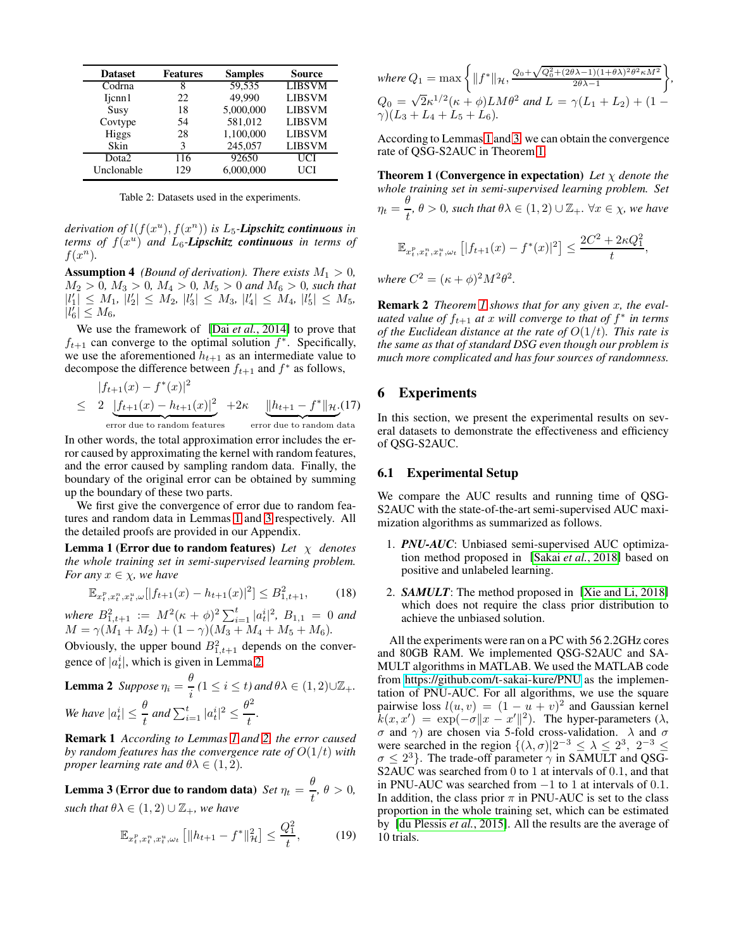<span id="page-4-4"></span>

| <b>Dataset</b>    | <b>Features</b> | <b>Samples</b> | <b>Source</b> |
|-------------------|-----------------|----------------|---------------|
| Codrna            | 8               | 59,535         | <b>LIBSVM</b> |
| Ijcnn1            | 22              | 49,990         | <b>LIBSVM</b> |
| Susy              | 18              | 5,000,000      | <b>LIBSVM</b> |
| Covtype           | 54              | 581,012        | <b>LIBSVM</b> |
| Higgs             | 28              | 1,100,000      | <b>LIBSVM</b> |
| Skin              | 3               | 245,057        | <b>LIBSVM</b> |
| Dota <sub>2</sub> | 116             | 92650          | UCI           |
| Unclonable        | 129             | 6.000,000      | UCI           |

Table 2: Datasets used in the experiments.

 $derivation of$   $l(f(x^u), f(x^n))$  *is*  $L_5$ -*Lipschitz continuous in terms of* f(x u ) *and* L6*-Lipschitz continuous in terms of*  $f(x^n)$ .

**Assumption 4** *(Bound of derivation). There exists*  $M_1 > 0$ *,*  $M_2 > 0$ ,  $M_3 > 0$ ,  $M_4 > 0$ ,  $M_5 > 0$  and  $M_6 > 0$ , such that  $\left|l'_1\right| \leq M_1, \left|l'_2\right| \leq M_2, \left|l'_3\right| \leq M_3, \left|l'_4\right| \leq M_4, \left|l'_5\right| \leq M_5,$  $|l_6^{\dagger}| \leq M_6$ ,

We use the framework of [Dai *et al.*[, 2014\]](#page-6-16) to prove that  $f_{t+1}$  can converge to the optimal solution  $f^*$ . Specifically, we use the aforementioned  $h_{t+1}$  as an intermediate value to decompose the difference between  $f_{t+1}$  and  $f^*$  as follows,

$$
|f_{t+1}(x) - f^*(x)|^2
$$
  
\n
$$
\leq 2 \underbrace{|f_{t+1}(x) - h_{t+1}(x)|^2}_{\text{error due to random features}} + 2\kappa \underbrace{|h_{t+1} - f^*|_{\mathcal{H}}}_{\text{error due to random data}}. (17)
$$

In other words, the total approximation error includes the error caused by approximating the kernel with random features, and the error caused by sampling random data. Finally, the boundary of the original error can be obtained by summing up the boundary of these two parts.

We first give the convergence of error due to random features and random data in Lemmas [1](#page-4-0) and [3](#page-4-1) respectively. All the detailed proofs are provided in our Appendix.

Lemma 1 (Error due to random features) *Let* χ *denotes the whole training set in semi-supervised learning problem. For any*  $x \in \chi$ *, we have* 

$$
\mathbb{E}_{x_t^p, x_t^n, x_t^u, \omega}[|f_{t+1}(x) - h_{t+1}(x)|^2] \le B_{1, t+1}^2,\tag{18}
$$

*where*  $B_{1,t+1}^2 := M^2(\kappa + \phi)^2 \sum_{i=1}^t |a_t^i|^2$ ,  $B_{1,1} = 0$  and  $M = \gamma(M_1 + M_2) + (1 - \gamma)(M_3 + M_4 + M_5 + M_6).$ 

Obviously, the upper bound  $B_{1,t+1}^2$  depends on the convergence of  $|a_t^i|$ , which is given in Lemma [2.](#page-4-2)

**Lemma 2** Suppose 
$$
\eta_i = \frac{\theta}{i}
$$
  $(1 \le i \le t)$  and  $\theta \lambda \in (1, 2) \cup \mathbb{Z}_+$ .  
We have  $|a_t^i| \le \frac{\theta}{t}$  and  $\sum_{i=1}^t |a_t^i|^2 \le \frac{\theta^2}{t}$ .

Remark 1 *According to Lemmas [1](#page-4-0) and [2,](#page-4-2) the error caused by random features has the convergence rate of* O(1/t) *with proper learning rate and*  $\theta \lambda \in (1, 2)$ *.* 

<span id="page-4-1"></span>Lemma 3 (Error due to random data)  $\textit{Set}\ \eta_t = \frac{\theta}{\tau}$  $\frac{\partial}{\partial t}, \theta > 0,$ *such that*  $\theta \lambda \in (1, 2) \cup \mathbb{Z}_+$ *, we have* 

$$
\mathbb{E}_{x_t^p, x_t^n, x_t^u, \omega_t} \left[ \|h_{t+1} - f^*\|_{\mathcal{H}}^2 \right] \le \frac{Q_1^2}{t},\tag{19}
$$

where 
$$
Q_1 = \max \left\{ ||f^*||_{\mathcal{H}}, \frac{Q_0 + \sqrt{Q_0^2 + (2\theta \lambda - 1)(1 + \theta \lambda)^2 \theta^2 \kappa M^2}}{2\theta \lambda - 1} \right\}
$$
  
\n $Q_0 = \sqrt{2} \kappa^{1/2} (\kappa + \phi) L M \theta^2$  and  $L = \gamma (L_1 + L_2) + (1 - \gamma)(L_3 + L_4 + L_5 + L_6)$ .

<span id="page-4-3"></span>*,*

According to Lemmas [1](#page-4-0) and [3,](#page-4-1) we can obtain the convergence rate of QSG-S2AUC in Theorem [1.](#page-4-3)

Theorem 1 (Convergence in expectation) *Let* χ *denote the whole training set in semi-supervised learning problem. Set*  $\eta_t = \frac{\theta}{t}$  $\frac{\partial}{\partial t}$ ,  $\theta > 0$ , such that  $\theta \lambda \in (1, 2) \cup \mathbb{Z}_+$ .  $\forall x \in \chi$ , we have

$$
\mathbb{E}_{x_t^p, x_t^n, x_t^u, \omega_t} [ |f_{t+1}(x) - f^*(x)|^2 ] \le \frac{2C^2 + 2\kappa Q_1^2}{t},
$$

*where*  $C^2 = (\kappa + \phi)^2 M^2 \theta^2$ .

Remark 2 *Theorem [1](#page-4-3) shows that for any given* x*, the evaluated value of f*<sub>t+1</sub> at *x* will converge to that of  $f^*$  in terms *of the Euclidean distance at the rate of* O(1/t)*. This rate is the same as that of standard DSG even though our problem is much more complicated and has four sources of randomness.*

## 6 Experiments

In this section, we present the experimental results on several datasets to demonstrate the effectiveness and efficiency of QSG-S2AUC.

#### 6.1 Experimental Setup

<span id="page-4-0"></span>We compare the AUC results and running time of QSG-S2AUC with the state-of-the-art semi-supervised AUC maximization algorithms as summarized as follows.

- 1. *PNU-AUC*: Unbiased semi-supervised AUC optimization method proposed in [Sakai *et al.*[, 2018\]](#page-6-3) based on positive and unlabeled learning.
- 2. *SAMULT*: The method proposed in [\[Xie and Li, 2018\]](#page-7-3) which does not require the class prior distribution to achieve the unbiased solution.

<span id="page-4-2"></span>All the experiments were ran on a PC with 56 2.2GHz cores and 80GB RAM. We implemented QSG-S2AUC and SA-MULT algorithms in MATLAB. We used the MATLAB code from<https://github.com/t-sakai-kure/PNU> as the implementation of PNU-AUC. For all algorithms, we use the square pairwise loss  $l(u, v) = (1 - u + v)^2$  and Gaussian kernel  $k(x, x') = \exp(-\sigma ||x - x'||^2)$ . The hyper-parameters ( $\lambda$ ,  $\sigma$  and  $\gamma$ ) are chosen via 5-fold cross-validation.  $\lambda$  and  $\sigma$ were searched in the region  $\{(\lambda, \sigma)|2^{-3} \leq \lambda \leq 2^3, 2^{-3} \leq \sigma\}$  $\sigma \leq 2^3$ . The trade-off parameter  $\gamma$  in SAMULT and QSG-S2AUC was searched from 0 to 1 at intervals of 0.1, and that in PNU-AUC was searched from −1 to 1 at intervals of 0.1. In addition, the class prior  $\pi$  in PNU-AUC is set to the class proportion in the whole training set, which can be estimated by [\[du Plessis](#page-6-24) *et al.*, 2015]. All the results are the average of 10 trials.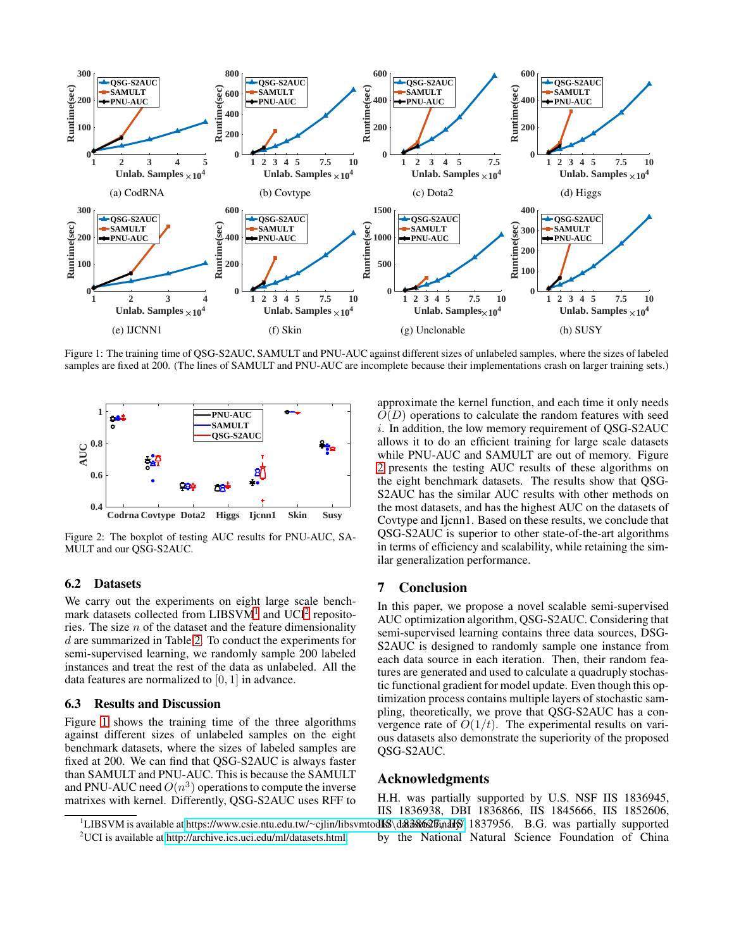<span id="page-5-2"></span>

Figure 1: The training time of QSG-S2AUC, SAMULT and PNU-AUC against different sizes of unlabeled samples, where the sizes of labeled samples are fixed at 200. (The lines of SAMULT and PNU-AUC are incomplete because their implementations crash on larger training sets.)

<span id="page-5-3"></span>

Figure 2: The boxplot of testing AUC results for PNU-AUC, SA-MULT and our QSG-S2AUC.

### 6.2 Datasets

We carry out the experiments on eight large scale benchmark datasets collected from  $LIBSVM<sup>1</sup>$  $LIBSVM<sup>1</sup>$  $LIBSVM<sup>1</sup>$  and  $UCI<sup>2</sup>$  $UCI<sup>2</sup>$  $UCI<sup>2</sup>$  repositories. The size  $n$  of the dataset and the feature dimensionality d are summarized in Table [2.](#page-4-4) To conduct the experiments for semi-supervised learning, we randomly sample 200 labeled instances and treat the rest of the data as unlabeled. All the data features are normalized to [0, 1] in advance.

## 6.3 Results and Discussion

Figure [1](#page-5-2) shows the training time of the three algorithms against different sizes of unlabeled samples on the eight benchmark datasets, where the sizes of labeled samples are fixed at 200. We can find that QSG-S2AUC is always faster than SAMULT and PNU-AUC. This is because the SAMULT and PNU-AUC need  $O(n^3)$  operations to compute the inverse matrixes with kernel. Differently, QSG-S2AUC uses RFF to approximate the kernel function, and each time it only needs  $O(D)$  operations to calculate the random features with seed i. In addition, the low memory requirement of QSG-S2AUC allows it to do an efficient training for large scale datasets while PNU-AUC and SAMULT are out of memory. Figure [2](#page-5-3) presents the testing AUC results of these algorithms on the eight benchmark datasets. The results show that QSG-S2AUC has the similar AUC results with other methods on the most datasets, and has the highest AUC on the datasets of Covtype and Ijcnn1. Based on these results, we conclude that QSG-S2AUC is superior to other state-of-the-art algorithms in terms of efficiency and scalability, while retaining the similar generalization performance.

### 7 Conclusion

In this paper, we propose a novel scalable semi-supervised AUC optimization algorithm, QSG-S2AUC. Considering that semi-supervised learning contains three data sources, DSG-S2AUC is designed to randomly sample one instance from each data source in each iteration. Then, their random features are generated and used to calculate a quadruply stochastic functional gradient for model update. Even though this optimization process contains multiple layers of stochastic sampling, theoretically, we prove that QSG-S2AUC has a convergence rate of  $O(1/t)$ . The experimental results on various datasets also demonstrate the superiority of the proposed QSG-S2AUC.

## Acknowledgments

<sup>1</sup>LIBSVM is available at [https://www.csie.ntu.edu.tw/](https://www.csie.ntu.edu.tw/~cjlin/libsvmtools/\datasets/binary/)~cjlin/libsvmtod**lS**\d&a&62*0*Eindly .1837956. B.G. was partially supported H.H. was partially supported by U.S. NSF IIS 1836945, IIS 1836938, DBI 1836866, IIS 1845666, IIS 1852606, by the National Natural Science Foundation of China

<span id="page-5-1"></span><span id="page-5-0"></span><sup>&</sup>lt;sup>2</sup>UCI is available at [http://archive.ics.uci.edu/ml/datasets.html.](http://archive.ics.uci.edu/ml/datasets.html)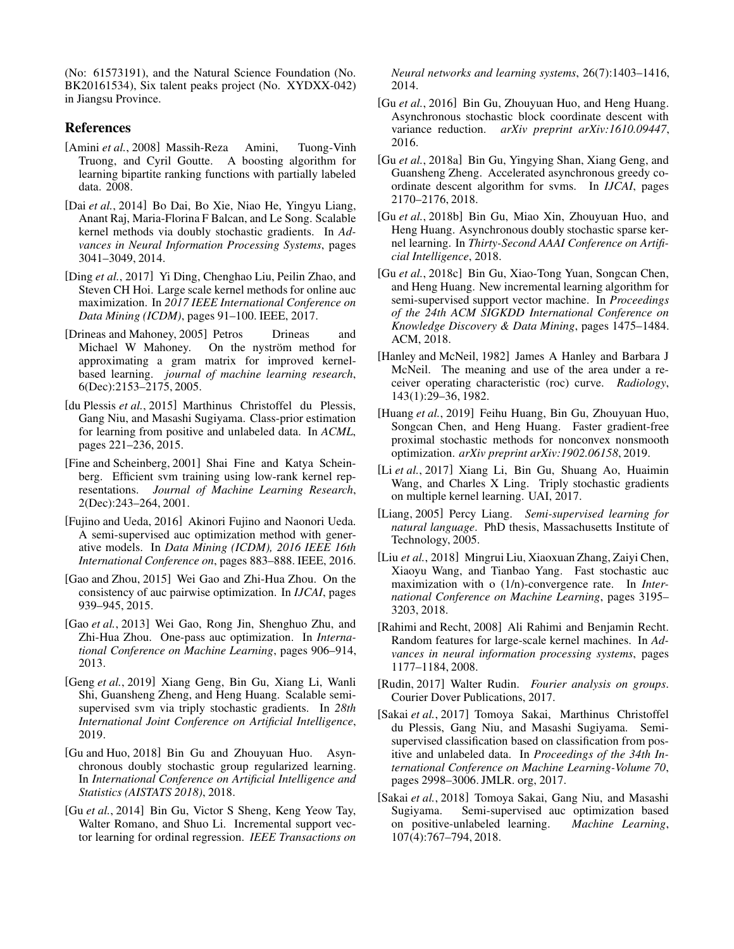(No: 61573191), and the Natural Science Foundation (No. BK20161534), Six talent peaks project (No. XYDXX-042) in Jiangsu Province.

# References

- <span id="page-6-8"></span>[Amini *et al.*, 2008] Massih-Reza Amini, Tuong-Vinh Truong, and Cyril Goutte. A boosting algorithm for learning bipartite ranking functions with partially labeled data. 2008.
- <span id="page-6-16"></span>[Dai *et al.*, 2014] Bo Dai, Bo Xie, Niao He, Yingyu Liang, Anant Raj, Maria-Florina F Balcan, and Le Song. Scalable kernel methods via doubly stochastic gradients. In *Advances in Neural Information Processing Systems*, pages 3041–3049, 2014.
- <span id="page-6-22"></span>[Ding *et al.*, 2017] Yi Ding, Chenghao Liu, Peilin Zhao, and Steven CH Hoi. Large scale kernel methods for online auc maximization. In *2017 IEEE International Conference on Data Mining (ICDM)*, pages 91–100. IEEE, 2017.
- <span id="page-6-18"></span>[Drineas and Mahoney, 2005] Petros Drineas and Michael W Mahoney. On the nyström method for approximating a gram matrix for improved kernelbased learning. *journal of machine learning research*, 6(Dec):2153–2175, 2005.
- <span id="page-6-24"></span>[du Plessis *et al.*, 2015] Marthinus Christoffel du Plessis, Gang Niu, and Masashi Sugiyama. Class-prior estimation for learning from positive and unlabeled data. In *ACML*, pages 221–236, 2015.
- <span id="page-6-17"></span>[Fine and Scheinberg, 2001] Shai Fine and Katya Scheinberg. Efficient svm training using low-rank kernel representations. *Journal of Machine Learning Research*, 2(Dec):243–264, 2001.
- <span id="page-6-9"></span>[Fujino and Ueda, 2016] Akinori Fujino and Naonori Ueda. A semi-supervised auc optimization method with generative models. In *Data Mining (ICDM), 2016 IEEE 16th International Conference on*, pages 883–888. IEEE, 2016.
- <span id="page-6-7"></span>[Gao and Zhou, 2015] Wei Gao and Zhi-Hua Zhou. On the consistency of auc pairwise optimization. In *IJCAI*, pages 939–945, 2015.
- <span id="page-6-6"></span>[Gao *et al.*, 2013] Wei Gao, Rong Jin, Shenghuo Zhu, and Zhi-Hua Zhou. One-pass auc optimization. In *International Conference on Machine Learning*, pages 906–914, 2013.
- <span id="page-6-4"></span>[Geng *et al.*, 2019] Xiang Geng, Bin Gu, Xiang Li, Wanli Shi, Guansheng Zheng, and Heng Huang. Scalable semisupervised svm via triply stochastic gradients. In *28th International Joint Conference on Artificial Intelligence*, 2019.
- <span id="page-6-12"></span>[Gu and Huo, 2018] Bin Gu and Zhouyuan Huo. Asynchronous doubly stochastic group regularized learning. In *International Conference on Artificial Intelligence and Statistics (AISTATS 2018)*, 2018.
- <span id="page-6-11"></span>[Gu *et al.*, 2014] Bin Gu, Victor S Sheng, Keng Yeow Tay, Walter Romano, and Shuo Li. Incremental support vector learning for ordinal regression. *IEEE Transactions on*

*Neural networks and learning systems*, 26(7):1403–1416, 2014.

- <span id="page-6-14"></span>[Gu *et al.*, 2016] Bin Gu, Zhouyuan Huo, and Heng Huang. Asynchronous stochastic block coordinate descent with variance reduction. *arXiv preprint arXiv:1610.09447*, 2016.
- <span id="page-6-13"></span>[Gu *et al.*, 2018a] Bin Gu, Yingying Shan, Xiang Geng, and Guansheng Zheng. Accelerated asynchronous greedy coordinate descent algorithm for svms. In *IJCAI*, pages 2170–2176, 2018.
- <span id="page-6-20"></span>[Gu *et al.*, 2018b] Bin Gu, Miao Xin, Zhouyuan Huo, and Heng Huang. Asynchronous doubly stochastic sparse kernel learning. In *Thirty-Second AAAI Conference on Artificial Intelligence*, 2018.
- <span id="page-6-1"></span>[Gu *et al.*, 2018c] Bin Gu, Xiao-Tong Yuan, Songcan Chen, and Heng Huang. New incremental learning algorithm for semi-supervised support vector machine. In *Proceedings of the 24th ACM SIGKDD International Conference on Knowledge Discovery & Data Mining*, pages 1475–1484. ACM, 2018.
- <span id="page-6-5"></span>[Hanley and McNeil, 1982] James A Hanley and Barbara J McNeil. The meaning and use of the area under a receiver operating characteristic (roc) curve. *Radiology*, 143(1):29–36, 1982.
- <span id="page-6-10"></span>[Huang *et al.*, 2019] Feihu Huang, Bin Gu, Zhouyuan Huo, Songcan Chen, and Heng Huang. Faster gradient-free proximal stochastic methods for nonconvex nonsmooth optimization. *arXiv preprint arXiv:1902.06158*, 2019.
- <span id="page-6-19"></span>[Li *et al.*, 2017] Xiang Li, Bin Gu, Shuang Ao, Huaimin Wang, and Charles X Ling. Triply stochastic gradients on multiple kernel learning. UAI, 2017.
- <span id="page-6-0"></span>[Liang, 2005] Percy Liang. *Semi-supervised learning for natural language*. PhD thesis, Massachusetts Institute of Technology, 2005.
- <span id="page-6-21"></span>[Liu *et al.*, 2018] Mingrui Liu, Xiaoxuan Zhang, Zaiyi Chen, Xiaoyu Wang, and Tianbao Yang. Fast stochastic auc maximization with o (1/n)-convergence rate. In *International Conference on Machine Learning*, pages 3195– 3203, 2018.
- <span id="page-6-15"></span>[Rahimi and Recht, 2008] Ali Rahimi and Benjamin Recht. Random features for large-scale kernel machines. In *Advances in neural information processing systems*, pages 1177–1184, 2008.
- <span id="page-6-23"></span>[Rudin, 2017] Walter Rudin. *Fourier analysis on groups*. Courier Dover Publications, 2017.
- <span id="page-6-2"></span>[Sakai *et al.*, 2017] Tomoya Sakai, Marthinus Christoffel du Plessis, Gang Niu, and Masashi Sugiyama. Semisupervised classification based on classification from positive and unlabeled data. In *Proceedings of the 34th International Conference on Machine Learning-Volume 70*, pages 2998–3006. JMLR. org, 2017.
- <span id="page-6-3"></span>[Sakai *et al.*, 2018] Tomoya Sakai, Gang Niu, and Masashi Sugiyama. Semi-supervised auc optimization based on positive-unlabeled learning. *Machine Learning*, 107(4):767–794, 2018.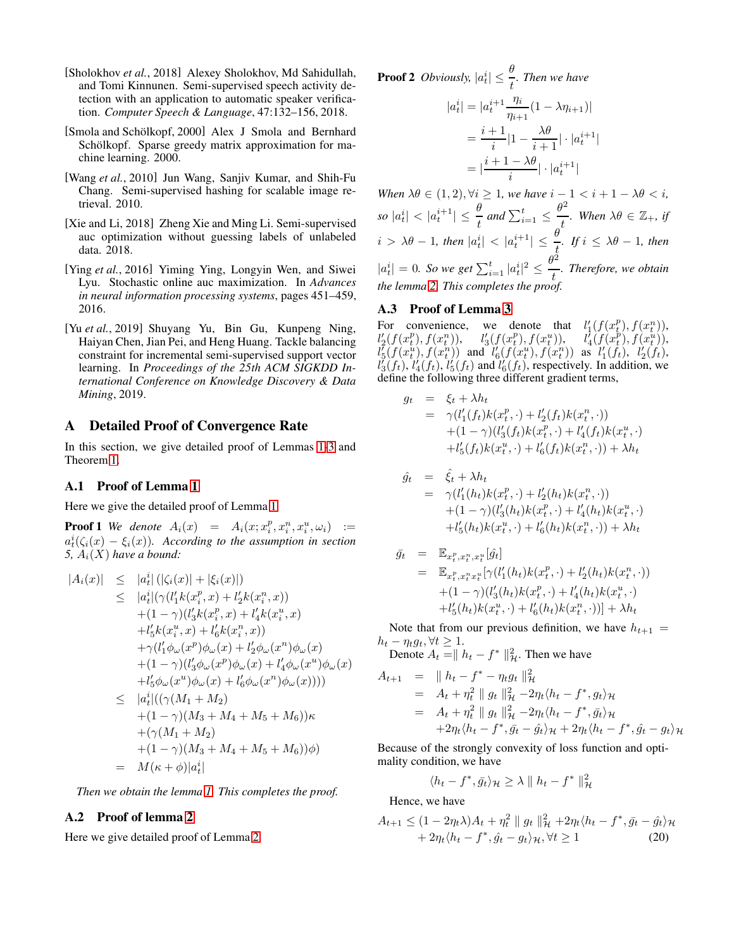- <span id="page-7-1"></span>[Sholokhov *et al.*, 2018] Alexey Sholokhov, Md Sahidullah, and Tomi Kinnunen. Semi-supervised speech activity detection with an application to automatic speaker verification. *Computer Speech & Language*, 47:132–156, 2018.
- <span id="page-7-4"></span>[Smola and Schölkopf, 2000] Alex J Smola and Bernhard Schölkopf. Sparse greedy matrix approximation for machine learning. 2000.
- <span id="page-7-0"></span>[Wang *et al.*, 2010] Jun Wang, Sanjiv Kumar, and Shih-Fu Chang. Semi-supervised hashing for scalable image retrieval. 2010.
- <span id="page-7-3"></span>[Xie and Li, 2018] Zheng Xie and Ming Li. Semi-supervised auc optimization without guessing labels of unlabeled data. 2018.
- <span id="page-7-5"></span>[Ying *et al.*, 2016] Yiming Ying, Longyin Wen, and Siwei Lyu. Stochastic online auc maximization. In *Advances in neural information processing systems*, pages 451–459, 2016.
- <span id="page-7-2"></span>[Yu *et al.*, 2019] Shuyang Yu, Bin Gu, Kunpeng Ning, Haiyan Chen, Jian Pei, and Heng Huang. Tackle balancing constraint for incremental semi-supervised support vector learning. In *Proceedings of the 25th ACM SIGKDD International Conference on Knowledge Discovery & Data Mining*, 2019.

# A Detailed Proof of Convergence Rate

In this section, we give detailed proof of Lemmas [1-](#page-4-0)[3](#page-4-1) and Theorem [1.](#page-4-3)

#### A.1 Proof of Lemma [1](#page-4-0)

Here we give the detailed proof of Lemma [1.](#page-4-0)

**Proof 1** We denote  $A_i(x) = A_i(x; x_i^p, x_i^n, x_i^u, \omega_i)$  :=  $a_t^i(\zeta_i(x) - \xi_i(x))$ . According to the assumption in section 5,  $A_i(X)$  *have a bound:* 

$$
|A_i(x)| \leq |a_t^i| (|\zeta_i(x)| + |\xi_i(x)|)
$$
  
\n
$$
\leq |a_t^i| (\gamma(l_1' k(x_t^p, x) + l_2' k(x_t^n, x))
$$
  
\n
$$
+ (1 - \gamma)(l_3' k(x_t^p, x) + l_4' k(x_t^u, x)
$$
  
\n
$$
+ l_5' k(x_t^u, x) + l_6' k(x_t^n, x))
$$
  
\n
$$
+ \gamma(l_1' \phi_\omega(x^p) \phi_\omega(x) + l_2' \phi_\omega(x^n) \phi_\omega(x)
$$
  
\n
$$
+ (1 - \gamma)(l_3' \phi_\omega(x^p) \phi_\omega(x) + l_4' \phi_\omega(x^u) \phi_\omega(x)
$$
  
\n
$$
+ l_5' \phi_\omega(x^u) \phi_\omega(x) + l_6' \phi_\omega(x^n) \phi_\omega(x)))
$$
  
\n
$$
\leq |a_t^i| ((\gamma(M_1 + M_2)) + (1 - \gamma)(M_3 + M_4 + M_5 + M_6))\kappa
$$
  
\n
$$
+ (\gamma(M_1 + M_2) + (1 - \gamma)(M_3 + M_4 + M_5 + M_6))\phi)
$$
  
\n
$$
= M(\kappa + \phi)|a_t^i|
$$

*Then we obtain the lemma [1.](#page-4-0) This completes the proof.*

## A.2 Proof of lemma [2](#page-4-2)

Here we give detailed proof of Lemma [2.](#page-4-2)

**Proof 2** *Obviously,*  $|a_t^i| \leq \frac{\theta}{t}$ *. Then we have* 

$$
|a_t^i| = |a_t^{i+1} \frac{\eta_i}{\eta_{i+1}} (1 - \lambda \eta_{i+1})|
$$
  
= 
$$
\frac{i+1}{i} |1 - \frac{\lambda \theta}{i+1}| \cdot |a_t^{i+1}|
$$
  
= 
$$
|\frac{i+1 - \lambda \theta}{i}| \cdot |a_t^{i+1}|
$$

*When*  $\lambda \theta \in (1, 2), \forall i \geq 1$ *, we have*  $i - 1 < i + 1 - \lambda \theta < i$ *,*  $\left| a_t^i \right| < \left| a_t^{i+1} \right| \leq \frac{\theta}{t}$  and  $\sum_{i=1}^t \leq$  $\theta^2$  $\frac{d}{dt}$ *.* When  $\lambda \theta \in \mathbb{Z}_+, \text{ if }$  $i > \lambda \theta - 1$ *, then*  $|a_t^i| < |a_t^{i+1}| \leq \frac{\theta}{t}$ *. If*  $i \leq \lambda \theta - 1$ *, then*  $|a_t^i| = 0$ . So we get  $\sum_{i=1}^t |a_t^i|^2 \leq \frac{\theta^2}{t}$ t *. Therefore, we obtain the lemma [2.](#page-4-2) This completes the proof.*

#### A.3 Proof of Lemma [3](#page-4-1)

For convenience, we denote that  $l'_1(f(x_t^p), f(x_t^n)),$  $l_2'(f(x_t^p), f(x_t^n)), \quad l_3'(f(x_t^p), f(x_t^u)), \quad l_4'(f(x_t^p), f(x_t^u)),$  $l_5^r(f(x_t^u), f(x_t^u))$  and  $l_6^r(f(x_t^u), f(x_t^u))$  as  $l_1^r(f_t), l_2^r(f_t),$  $l_3'(f_t)$ ,  $l_4'(f_t)$ ,  $l_5'(f_t)$  and  $l_6'(f_t)$ , respectively. In addition, we define the following three different gradient terms,

$$
g_t = \xi_t + \lambda h_t
$$
  
=  $\gamma (l'_1(f_t)k(x_t^p, \cdot) + l'_2(f_t)k(x_t^n, \cdot))$   
+  $(1 - \gamma)(l'_3(f_t)k(x_t^p, \cdot) + l'_4(f_t)k(x_t^u, \cdot))$   
+  $l'_5(f_t)k(x_t^u, \cdot) + l'_6(f_t)k(x_t^n, \cdot)) + \lambda h_t$ 

$$
\hat{g}_t = \hat{\xi}_t + \lambda h_t \n= \gamma (l'_1(h_t)k(x_t^p, \cdot) + l'_2(h_t)k(x_t^n, \cdot)) \n+ (1 - \gamma)(l'_3(h_t)k(x_t^p, \cdot) + l'_4(h_t)k(x_t^u, \cdot) \n+ l'_5(h_t)k(x_t^u, \cdot) + l'_6(h_t)k(x_t^n, \cdot)) + \lambda h_t
$$

$$
\begin{array}{rcl}\n\bar{g}_t & = & \mathbb{E}_{x_t^p, x_t^n, x_t^n}[\hat{g}_t] \\
& = & \mathbb{E}_{x_t^p, x_t^n x_t^n}[\gamma(l_1'(h_t)k(x_t^p, \cdot) + l_2'(h_t)k(x_t^n, \cdot)) \\
& & + (1 - \gamma)(l_3'(h_t)k(x_t^p, \cdot) + l_4'(h_t)k(x_t^n, \cdot)) \\
& & + l_5'(h_t)k(x_t^n, \cdot) + l_6'(h_t)k(x_t^n, \cdot))\n\end{array}
$$

Note that from our previous definition, we have  $h_{t+1} =$  $h_t - \eta_t g_t, \forall t \geq 1.$ 

Denote  $A_t = || h_t - f^* ||^2_{\mathcal{H}}$ . Then we have

$$
A_{t+1} = || h_t - f^* - \eta_t g_t ||_{{\mathcal H}}^2
$$
  
=  $A_t + \eta_t^2 || g_t ||_{{\mathcal H}}^2 - 2\eta_t \langle h_t - f^*, g_t \rangle_{{\mathcal H}}$   
=  $A_t + \eta_t^2 || g_t ||_{{\mathcal H}}^2 - 2\eta_t \langle h_t - f^*, \bar{g}_t \rangle_{{\mathcal H}}$   
+  $2\eta_t \langle h_t - f^*, \bar{g}_t - \hat{g}_t \rangle_{{\mathcal H}} + 2\eta_t \langle h_t - f^*, \hat{g}_t - g_t \rangle_{{\mathcal H}}$ 

Because of the strongly convexity of loss function and optimality condition, we have

$$
\langle h_t - f^*, \bar{g}_t \rangle_{\mathcal{H}} \ge \lambda \parallel h_t - f^* \parallel_{\mathcal{H}}^2
$$

Hence, we have

$$
A_{t+1} \le (1 - 2\eta_t \lambda) A_t + \eta_t^2 \parallel g_t \parallel_H^2 + 2\eta_t \langle h_t - f^*, \bar{g}_t - \hat{g}_t \rangle_{\mathcal{H}} + 2\eta_t \langle h_t - f^*, \hat{g}_t - g_t \rangle_{\mathcal{H}}, \forall t \ge 1
$$
 (20)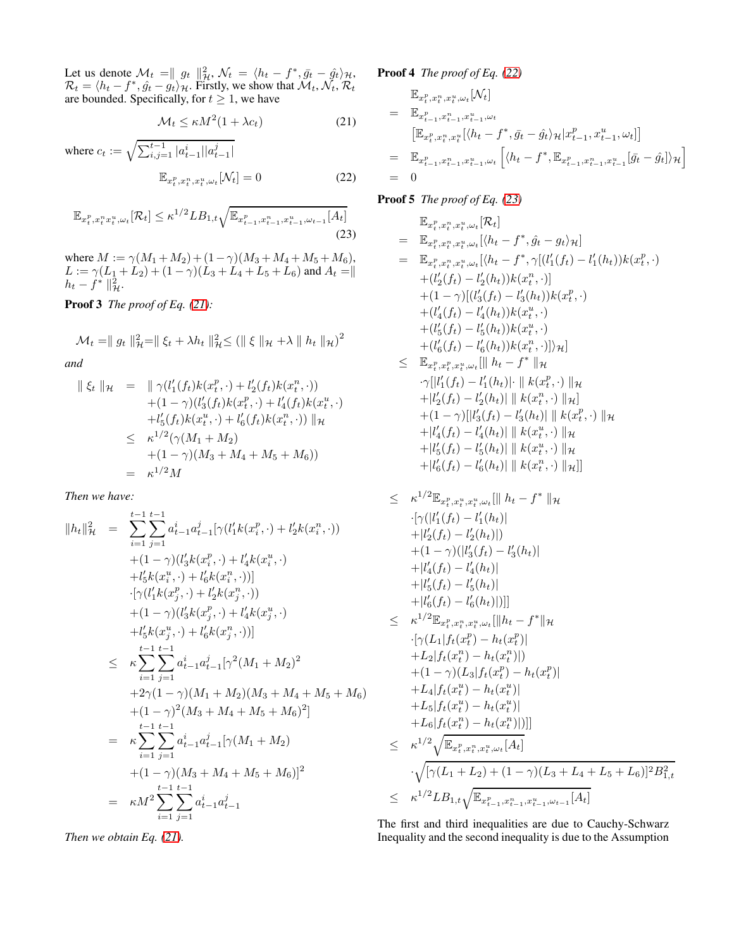Let us denote  $\mathcal{M}_t = ||g_t||^2_{\mathcal{H}}$ ,  $\mathcal{N}_t = \langle h_t - f^*, \bar{g}_t - \hat{g}_t \rangle_{\mathcal{H}}$ ,  $\mathcal{R}_t = \langle h_t - f^*, \hat{g}_t - g_t \rangle_{\mathcal{H}}$ . Firstly, we show that  $\mathcal{M}_t, \mathcal{N}_t, \mathcal{R}_t$ are bounded. Specifically, for  $t \geq 1$ , we have

$$
\mathcal{M}_t \le \kappa M^2 (1 + \lambda c_t) \tag{21}
$$

where 
$$
c_t := \sqrt{\sum_{i,j=1}^{t-1} |a_{t-1}^i| |a_{t-1}^j|}
$$
  

$$
\mathbb{E}_{x_t^p, x_t^n, x_t^u, \omega_t}[\mathcal{N}_t] = 0
$$
 (22)

$$
\mathbb{E}_{x_t^p, x_t^n x_t^u, \omega_t} [\mathcal{R}_t] \le \kappa^{1/2} L B_{1,t} \sqrt{\mathbb{E}_{x_{t-1}^p, x_{t-1}^n, x_{t-1}^u, \omega_{t-1}} [A_t]}
$$
(23)

where  $M := \gamma(M_1 + M_2) + (1 - \gamma)(M_3 + M_4 + M_5 + M_6)$  $L := \gamma (L_1 + L_2) + (1 - \gamma)(L_3 + L_4 + L_5 + L_6)$  and  $A_t = ||$  $h_t - \hat{f}^* \parallel_{\mathcal{H}}^2$ .

Proof 3 *The proof of Eq. [\(21\)](#page-8-0):*

$$
\mathcal{M}_t = \| g_t \|_{\mathcal{H}}^2 = \| \xi_t + \lambda h_t \|_{\mathcal{H}}^2 \leq ( \| \xi \|_{\mathcal{H}} + \lambda \| h_t \|_{\mathcal{H}} )^2
$$

*and*

$$
\begin{array}{rcl} \parallel \xi_t \parallel_{\mathcal{H}} & = & \parallel \gamma(l_1'(f_t)k(x_t^p, \cdot) + l_2'(f_t)k(x_t^n, \cdot)) \\ & + (1 - \gamma)(l_3'(f_t)k(x_t^p, \cdot) + l_4'(f_t)k(x_t^u, \cdot)) \\ & + l_5'(f_t)k(x_t^u, \cdot) + l_6'(f_t)k(x_t^n, \cdot)) \parallel_{\mathcal{H}} \\ & \leq & \kappa^{1/2}(\gamma(M_1 + M_2) \\ & + (1 - \gamma)(M_3 + M_4 + M_5 + M_6)) \\ & = & \kappa^{1/2}M \end{array}
$$

*Then we have:*

$$
||h_t||_{\mathcal{H}}^2 = \sum_{i=1}^{t-1} \sum_{j=1}^{t-1} a_{t-1}^i a_{t-1}^j [\gamma(l_1' k(x_i^p, \cdot) + l_2' k(x_i^n, \cdot)) + (1-\gamma)(l_3' k(x_i^p, \cdot) + l_4' k(x_i^u, \cdot) + l_5' k(x_i^u, \cdot) + l_6' k(x_i^n, \cdot))]
$$
  
\n
$$
\cdot [\gamma(l_1' k(x_j^p, \cdot) + l_2' k(x_j^n, \cdot)) + (1-\gamma)(l_3' k(x_j^p, \cdot) + l_4' k(x_j^u, \cdot) + l_5' k(x_j^u, \cdot) + l_6' k(x_j^n, \cdot))]
$$
  
\n
$$
\leq \kappa \sum_{i=1}^{t-1} \sum_{j=1}^{t-1} a_{t-1}^i a_{t-1}^j [\gamma^2(M_1 + M_2)^2 + 2\gamma(1-\gamma)(M_1 + M_2)(M_3 + M_4 + M_5 + M_6) + (1-\gamma)^2(M_3 + M_4 + M_5 + M_6)^2]
$$
  
\n
$$
= \kappa \sum_{i=1}^{t-1} \sum_{j=1}^{t-1} a_{t-1}^i a_{t-1}^j [\gamma(M_1 + M_2) + (1-\gamma)(M_3 + M_4 + M_5 + M_6)]^2
$$
  
\n
$$
= \kappa M^2 \sum_{i=1}^{t-1} \sum_{j=1}^{t-1} a_{t-1}^i a_{t-1}^j
$$

*Then we obtain Eq. [\(21\)](#page-8-0).*

Proof 4 *The proof of Eq. [\(22\)](#page-8-1)*

<span id="page-8-0"></span>
$$
\begin{aligned}\n&\mathbb{E}_{x_t^p, x_t^n, x_t^u, \omega_t}[\mathcal{N}_t] \\
&= \mathbb{E}_{x_{t-1}^p, x_{t-1}^n, x_{t-1}^u, \omega_t} \\
& \left[ \mathbb{E}_{x_t^p, x_t^n, x_t^u} [\langle h_t - f^*, \bar{g}_t - \hat{g}_t \rangle_{\mathcal{H}} | x_{t-1}^p, x_{t-1}^u, \omega_t] \right] \\
&= \mathbb{E}_{x_{t-1}^p, x_{t-1}^n, x_{t-1}^u, \omega_t} \left[ \langle h_t - f^*, \mathbb{E}_{x_{t-1}^p, x_{t-1}^n, x_{t-1}^u} [\bar{g}_t - \hat{g}_t] \rangle_{\mathcal{H}} \right] \\
&= 0\n\end{aligned}
$$

<span id="page-8-2"></span><span id="page-8-1"></span>Proof 5 *The proof of Eq. [\(23\)](#page-8-2)*

$$
\mathbb{E}_{x_t^p, x_t^n, x_t^n, \omega_t} [\mathcal{R}_t]
$$
\n
$$
= \mathbb{E}_{x_t^p, x_t^n, x_t^n, \omega_t} [\langle h_t - f^*, \hat{g}_t - g_t \rangle_{\mathcal{H}}]
$$
\n
$$
= \mathbb{E}_{x_t^p, x_t^n, x_t^n, \omega_t} [\langle h_t - f^*, \gamma[(l'_1(f_t) - l'_1(h_t))k(x_t^n, \cdot) + (l'_2(f_t) - l'_2(h_t))k(x_t^n, \cdot)]
$$
\n
$$
+ (1 - \gamma)[(l'_3(f_t) - l'_3(h_t))k(x_t^n, \cdot) + (l'_4(f_t) - l'_4(h_t))k(x_t^n, \cdot) + (l'_5(f_t) - l'_5(h_t))k(x_t^n, \cdot)]
$$
\n
$$
+ (l'_5(f_t) - l'_6(h_t))k(x_t^n, \cdot)]\rangle_{\mathcal{H}}]
$$
\n
$$
\leq \mathbb{E}_{x_t^p, x_t^p, x_t^n, \omega_t} [\|h_t - f^*\|_{\mathcal{H}}
$$
\n
$$
\cdot \gamma[|l'_1(f_t) - l'_1(h_t)| \cdot \|k(x_t^n, \cdot) \|_{\mathcal{H}}]
$$

$$
\begin{aligned}\n& \|\n|l_1'(f_t) - l_1'(h_t)\| \cdot \|\n|k(x_t^p, \cdot) \|\n\| \n+ \|\n|l_2'(f_t) - l_2'(h_t)\| \|\n|k(x_t^n, \cdot) \|\n\| \n+ (1 - \gamma) \|\n|l_3'(f_t) - l_3'(h_t)\| \|\n|k(x_t^n, \cdot) \|\n\| \n+ \|\n|l_4'(f_t) - l_4'(h_t)\| \|\n|k(x_t^n, \cdot) \|\n\| \n+ \|\n|l_5'(f_t) - l_5'(h_t)\| \|\n|k(x_t^n, \cdot) \|\n\| \n+ \|\n|l_6'(f_t) - l_6'(h_t)\| \|\n|k(x_t^n, \cdot) \|\n\| \n\| \n\end{aligned}
$$

$$
\leq \kappa^{1/2} \mathbb{E}_{x_t^p, x_t^u, x_t^u, \omega_t} [\| h_t - f^* \|_{\mathcal{H}} \n\cdot [\gamma(|l_1'(f_t) - l_1'(h_t)| \n+ |l_2'(f_t) - l_2'(h_t)|) \n+ (1 - \gamma)(|l_3'(f_t) - l_3'(h_t)| \n+ |l_4'(f_t) - l_4'(h_t)| \n+ |l_5'(f_t) - l_5'(h_t)| \n+ |l_6'(f_t) - l_6'(h_t)|)] ] \n\leq \kappa^{1/2} \mathbb{E}_{x_t^p, x_t^n, x_t^u, \omega_t} [\| h_t - f^* \|_{\mathcal{H}} \n\cdot [\gamma(L_1|f_t(x_t^p) - h_t(x_t^p)] \n+ L_2|f_t(x_t^n) - h_t(x_t^n)|) \n+ (1 - \gamma)(L_3|f_t(x_t^p) - h_t(x_t^p)| \n+ L_4|f_t(x_t^u) - h_t(x_t^u)| \n+ L_5|f_t(x_t^n) - h_t(x_t^n)|)] ] \n\leq \kappa^{1/2} \sqrt{\mathbb{E}_{x_t^p, x_t^n, x_t^u, \omega_t}[A_t]}
$$

$$
\sqrt{[\gamma(L_1 + L_2) + (1 - \gamma)(L_3 + L_4 + L_5 + L_6)]^2 B_{1,t}^2}
$$
  
 
$$
\leq \kappa^{1/2} L B_{1,t} \sqrt{\mathbb{E}_{x_{t-1}^p, x_{t-1}^n, x_{t-1}^u, \omega_{t-1}} [A_t]}
$$

The first and third inequalities are due to Cauchy-Schwarz Inequality and the second inequality is due to the Assumption